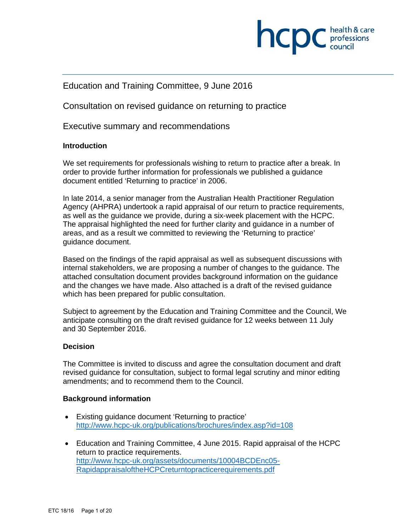

## Education and Training Committee, 9 June 2016

Consultation on revised guidance on returning to practice

Executive summary and recommendations

#### **Introduction**

We set requirements for professionals wishing to return to practice after a break. In order to provide further information for professionals we published a guidance document entitled 'Returning to practice' in 2006.

In late 2014, a senior manager from the Australian Health Practitioner Regulation Agency (AHPRA) undertook a rapid appraisal of our return to practice requirements, as well as the guidance we provide, during a six-week placement with the HCPC. The appraisal highlighted the need for further clarity and guidance in a number of areas, and as a result we committed to reviewing the 'Returning to practice' guidance document.

Based on the findings of the rapid appraisal as well as subsequent discussions with internal stakeholders, we are proposing a number of changes to the guidance. The attached consultation document provides background information on the guidance and the changes we have made. Also attached is a draft of the revised guidance which has been prepared for public consultation.

Subject to agreement by the Education and Training Committee and the Council, We anticipate consulting on the draft revised guidance for 12 weeks between 11 July and 30 September 2016.

#### **Decision**

The Committee is invited to discuss and agree the consultation document and draft revised guidance for consultation, subject to formal legal scrutiny and minor editing amendments; and to recommend them to the Council.

#### **Background information**

- Existing guidance document 'Returning to practice' http://www.hcpc-uk.org/publications/brochures/index.asp?id=108
- Education and Training Committee, 4 June 2015. Rapid appraisal of the HCPC return to practice requirements. http://www.hcpc-uk.org/assets/documents/10004BCDEnc05- RapidappraisaloftheHCPCreturntopracticerequirements.pdf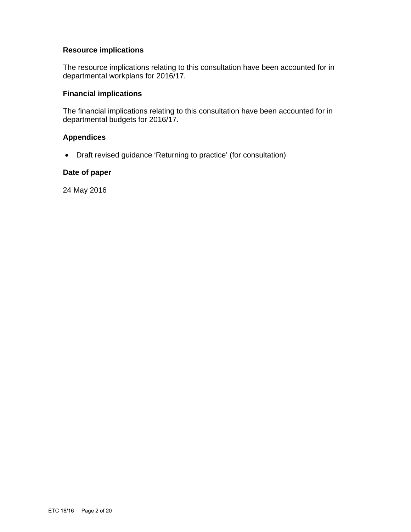#### **Resource implications**

The resource implications relating to this consultation have been accounted for in departmental workplans for 2016/17.

## **Financial implications**

The financial implications relating to this consultation have been accounted for in departmental budgets for 2016/17.

#### **Appendices**

Draft revised guidance 'Returning to practice' (for consultation)

#### **Date of paper**

24 May 2016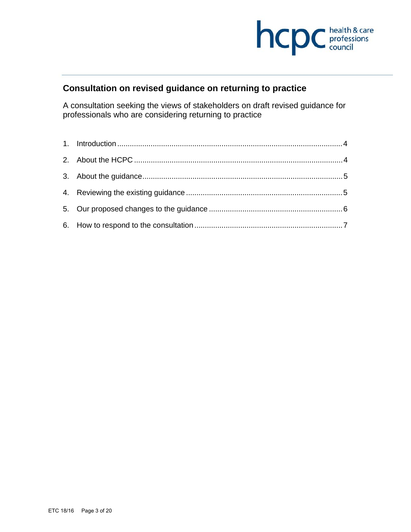

## **Consultation on revised guidance on returning to practice**

A consultation seeking the views of stakeholders on draft revised guidance for professionals who are considering returning to practice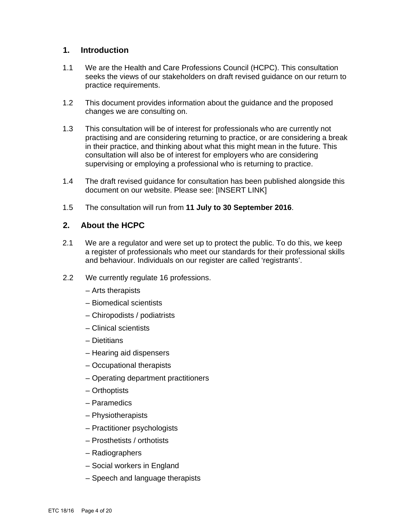### **1. Introduction**

- 1.1 We are the Health and Care Professions Council (HCPC). This consultation seeks the views of our stakeholders on draft revised guidance on our return to practice requirements.
- 1.2 This document provides information about the guidance and the proposed changes we are consulting on.
- 1.3 This consultation will be of interest for professionals who are currently not practising and are considering returning to practice, or are considering a break in their practice, and thinking about what this might mean in the future. This consultation will also be of interest for employers who are considering supervising or employing a professional who is returning to practice.
- 1.4 The draft revised guidance for consultation has been published alongside this document on our website. Please see: [INSERT LINK]
- 1.5 The consultation will run from **11 July to 30 September 2016**.

## **2. About the HCPC**

- 2.1 We are a regulator and were set up to protect the public. To do this, we keep a register of professionals who meet our standards for their professional skills and behaviour. Individuals on our register are called 'registrants'.
- 2.2 We currently regulate 16 professions.
	- Arts therapists
	- Biomedical scientists
	- Chiropodists / podiatrists
	- Clinical scientists
	- Dietitians
	- Hearing aid dispensers
	- Occupational therapists
	- Operating department practitioners
	- Orthoptists
	- Paramedics
	- Physiotherapists
	- Practitioner psychologists
	- Prosthetists / orthotists
	- Radiographers
	- Social workers in England
	- Speech and language therapists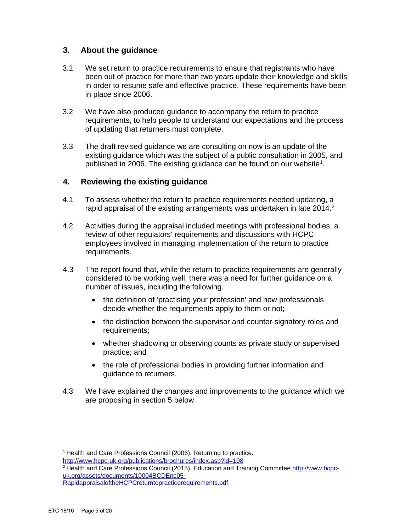## **3. About the guidance**

- 3.1 We set return to practice requirements to ensure that registrants who have been out of practice for more than two years update their knowledge and skills in order to resume safe and effective practice. These requirements have been in place since 2006.
- 3.2 We have also produced guidance to accompany the return to practice requirements, to help people to understand our expectations and the process of updating that returners must complete.
- 3.3 The draft revised guidance we are consulting on now is an update of the existing guidance which was the subject of a public consultation in 2005, and published in 2006. The existing guidance can be found on our website<sup>1</sup>.

## **4. Reviewing the existing guidance**

- 4.1 To assess whether the return to practice requirements needed updating, a rapid appraisal of the existing arrangements was undertaken in late 2014.<sup>2</sup>
- 4.2 Activities during the appraisal included meetings with professional bodies, a review of other regulators' requirements and discussions with HCPC employees involved in managing implementation of the return to practice requirements.
- 4.3 The report found that, while the return to practice requirements are generally considered to be working well, there was a need for further guidance on a number of issues, including the following.
	- the definition of 'practising your profession' and how professionals decide whether the requirements apply to them or not;
	- the distinction between the supervisor and counter-signatory roles and requirements;
	- whether shadowing or observing counts as private study or supervised practice; and
	- the role of professional bodies in providing further information and guidance to returners.
- 4.3 We have explained the changes and improvements to the guidance which we are proposing in section 5 below.

 <sup>1</sup> Health and Care Professions Council (2006). Returning to practice. http://www.hcpc-uk.org/publications/brochures/index.asp?id=108

<sup>2</sup> Health and Care Professions Council (2015). Education and Training Committee http://www.hcpcuk.org/assets/documents/10004BCDEnc05-

RapidappraisaloftheHCPCreturntopracticerequirements.pdf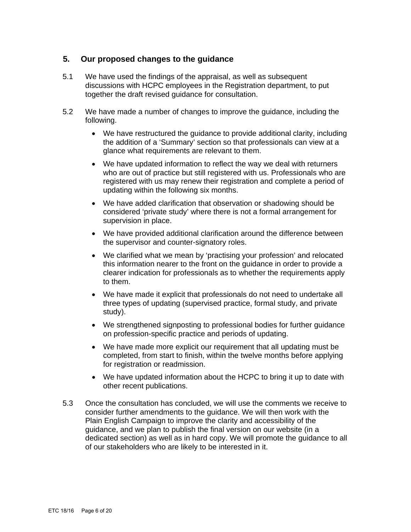## **5. Our proposed changes to the guidance**

- 5.1 We have used the findings of the appraisal, as well as subsequent discussions with HCPC employees in the Registration department, to put together the draft revised guidance for consultation.
- 5.2 We have made a number of changes to improve the guidance, including the following.
	- We have restructured the guidance to provide additional clarity, including the addition of a 'Summary' section so that professionals can view at a glance what requirements are relevant to them.
	- We have updated information to reflect the way we deal with returners who are out of practice but still registered with us. Professionals who are registered with us may renew their registration and complete a period of updating within the following six months.
	- We have added clarification that observation or shadowing should be considered 'private study' where there is not a formal arrangement for supervision in place.
	- We have provided additional clarification around the difference between the supervisor and counter-signatory roles.
	- We clarified what we mean by 'practising your profession' and relocated this information nearer to the front on the guidance in order to provide a clearer indication for professionals as to whether the requirements apply to them.
	- We have made it explicit that professionals do not need to undertake all three types of updating (supervised practice, formal study, and private study).
	- We strengthened signposting to professional bodies for further guidance on profession-specific practice and periods of updating.
	- We have made more explicit our requirement that all updating must be completed, from start to finish, within the twelve months before applying for registration or readmission.
	- We have updated information about the HCPC to bring it up to date with other recent publications.
- 5.3 Once the consultation has concluded, we will use the comments we receive to consider further amendments to the guidance. We will then work with the Plain English Campaign to improve the clarity and accessibility of the guidance, and we plan to publish the final version on our website (in a dedicated section) as well as in hard copy. We will promote the guidance to all of our stakeholders who are likely to be interested in it.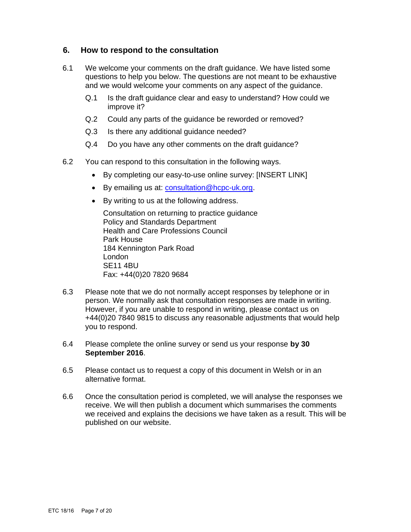## **6. How to respond to the consultation**

- 6.1 We welcome your comments on the draft guidance. We have listed some questions to help you below. The questions are not meant to be exhaustive and we would welcome your comments on any aspect of the guidance.
	- Q.1 Is the draft guidance clear and easy to understand? How could we improve it?
	- Q.2 Could any parts of the guidance be reworded or removed?
	- Q.3 Is there any additional guidance needed?
	- Q.4 Do you have any other comments on the draft guidance?
- 6.2 You can respond to this consultation in the following ways.
	- By completing our easy-to-use online survey: [INSERT LINK]
	- By emailing us at: consultation@hcpc-uk.org.
	- By writing to us at the following address.

Consultation on returning to practice guidance Policy and Standards Department Health and Care Professions Council Park House 184 Kennington Park Road London SE11 4BU Fax: +44(0)20 7820 9684

- 6.3 Please note that we do not normally accept responses by telephone or in person. We normally ask that consultation responses are made in writing. However, if you are unable to respond in writing, please contact us on +44(0)20 7840 9815 to discuss any reasonable adjustments that would help you to respond.
- 6.4 Please complete the online survey or send us your response **by 30 September 2016**.
- 6.5 Please contact us to request a copy of this document in Welsh or in an alternative format.
- 6.6 Once the consultation period is completed, we will analyse the responses we receive. We will then publish a document which summarises the comments we received and explains the decisions we have taken as a result. This will be published on our website.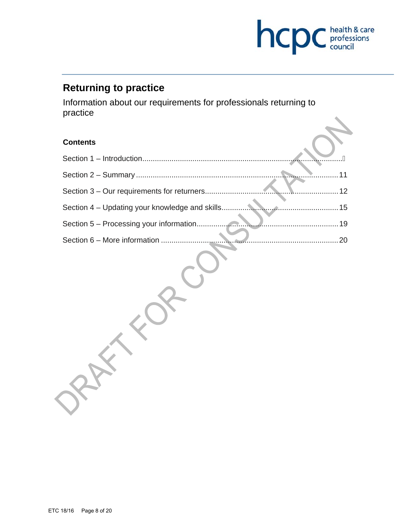

# **Returning to practice**

RAY-TO

Information about our requirements for professionals returning to practice

## **Contents**

| Section 5 - Processing your information |  |
|-----------------------------------------|--|
|                                         |  |

ESP CO.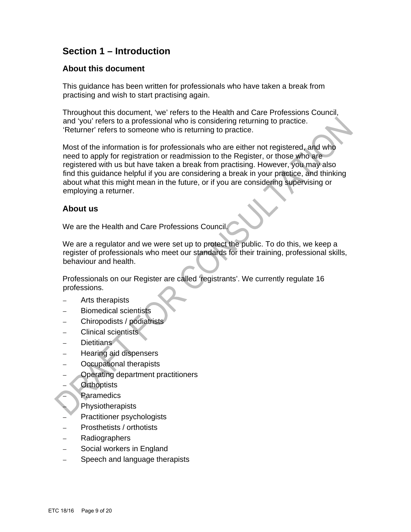## **Section 1 – Introduction**

### **About this document**

This guidance has been written for professionals who have taken a break from practising and wish to start practising again.

Throughout this document, 'we' refers to the Health and Care Professions Council, and 'you' refers to a professional who is considering returning to practice. 'Returner' refers to someone who is returning to practice.

Most of the information is for professionals who are either not registered, and who need to apply for registration or readmission to the Register, or those who are registered with us but have taken a break from practising. However, you may also find this guidance helpful if you are considering a break in your practice, and thinking about what this might mean in the future, or if you are considering supervising or employing a returner.

## **About us**

We are the Health and Care Professions Council.

We are a regulator and we were set up to protect the public. To do this, we keep a register of professionals who meet our standards for their training, professional skills, behaviour and health.

Professionals on our Register are called 'registrants'. We currently regulate 16 professions.

- Arts therapists
- Biomedical scientists
- Chiropodists / podiatrists
- Clinical scientists
- Dietitians
- Hearing aid dispensers
- Occupational therapists
- Operating department practitioners
- **Orthoptists** 
	- **Paramedics**
	- **Physiotherapists**
- Practitioner psychologists
- Prosthetists / orthotists
- Radiographers
- Social workers in England
- Speech and language therapists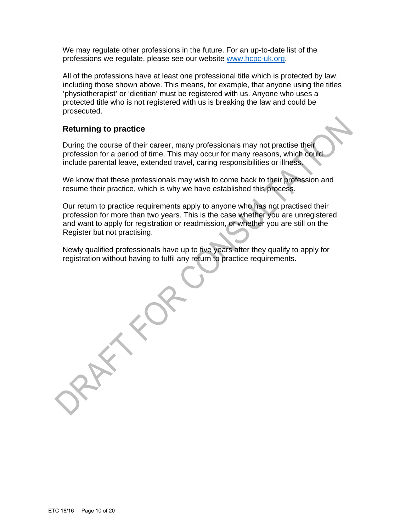We may regulate other professions in the future. For an up-to-date list of the professions we regulate, please see our website www.hcpc-uk.org.

All of the professions have at least one professional title which is protected by law, including those shown above. This means, for example, that anyone using the titles 'physiotherapist' or 'dietitian' must be registered with us. Anyone who uses a protected title who is not registered with us is breaking the law and could be prosecuted.

## **Returning to practice**

During the course of their career, many professionals may not practise their profession for a period of time. This may occur for many reasons, which could include parental leave, extended travel, caring responsibilities or illness.

We know that these professionals may wish to come back to their profession and resume their practice, which is why we have established this process.

Our return to practice requirements apply to anyone who has not practised their profession for more than two years. This is the case whether you are unregistered and want to apply for registration or readmission, or whether you are still on the Register but not practising.

Newly qualified professionals have up to five years after they qualify to apply for registration without having to fulfil any return to practice requirements.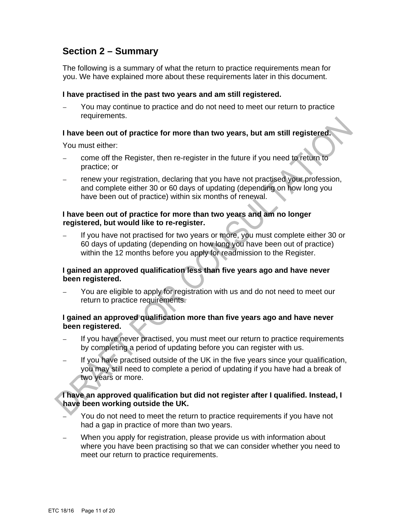## **Section 2 – Summary**

The following is a summary of what the return to practice requirements mean for you. We have explained more about these requirements later in this document.

#### **I have practised in the past two years and am still registered.**

– You may continue to practice and do not need to meet our return to practice requirements.

#### **I have been out of practice for more than two years, but am still registered.**

You must either:

- come off the Register, then re-register in the future if you need to return to practice; or
- renew your registration, declaring that you have not practised your profession, and complete either 30 or 60 days of updating (depending on how long you have been out of practice) within six months of renewal.

#### **I have been out of practice for more than two years and am no longer registered, but would like to re-register.**

If you have not practised for two years or more, you must complete either 30 or 60 days of updating (depending on how long you have been out of practice) within the 12 months before you apply for readmission to the Register.

#### **I gained an approved qualification less than five years ago and have never been registered.**

– You are eligible to apply for registration with us and do not need to meet our return to practice requirements.

#### **I gained an approved qualification more than five years ago and have never been registered.**

- If you have never practised, you must meet our return to practice requirements by completing a period of updating before you can register with us.
- If you have practised outside of the UK in the five years since your qualification, you may still need to complete a period of updating if you have had a break of two years or more.

#### **I have an approved qualification but did not register after I qualified. Instead, I have been working outside the UK.**

- You do not need to meet the return to practice requirements if you have not had a gap in practice of more than two years.
- When you apply for registration, please provide us with information about where you have been practising so that we can consider whether you need to meet our return to practice requirements.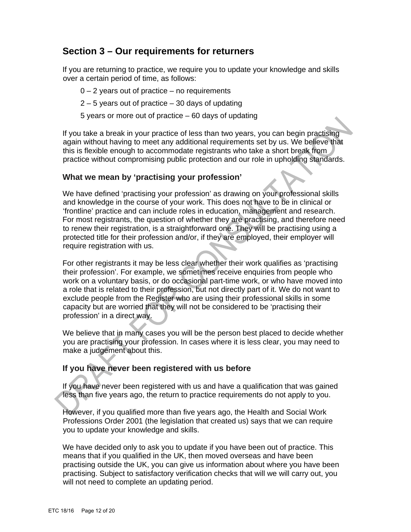## **Section 3 – Our requirements for returners**

If you are returning to practice, we require you to update your knowledge and skills over a certain period of time, as follows:

- $0 2$  years out of practice no requirements
- 2 5 years out of practice 30 days of updating
- 5 years or more out of practice 60 days of updating

If you take a break in your practice of less than two years, you can begin practising again without having to meet any additional requirements set by us. We believe that this is flexible enough to accommodate registrants who take a short break from practice without compromising public protection and our role in upholding standards.

#### **What we mean by 'practising your profession'**

We have defined 'practising your profession' as drawing on your professional skills and knowledge in the course of your work. This does not have to be in clinical or 'frontline' practice and can include roles in education, management and research. For most registrants, the question of whether they are practising, and therefore need to renew their registration, is a straightforward one. They will be practising using a protected title for their profession and/or, if they are employed, their employer will require registration with us.

For other registrants it may be less clear whether their work qualifies as 'practising their profession'. For example, we sometimes receive enquiries from people who work on a voluntary basis, or do occasional part-time work, or who have moved into a role that is related to their profession, but not directly part of it. We do not want to exclude people from the Register who are using their professional skills in some capacity but are worried that they will not be considered to be 'practising their profession' in a direct way.

We believe that in many cases you will be the person best placed to decide whether you are practising your profession. In cases where it is less clear, you may need to make a judgement about this.

#### **If you have never been registered with us before**

If you have never been registered with us and have a qualification that was gained less than five years ago, the return to practice requirements do not apply to you.

However, if you qualified more than five years ago, the Health and Social Work Professions Order 2001 (the legislation that created us) says that we can require you to update your knowledge and skills.

We have decided only to ask you to update if you have been out of practice. This means that if you qualified in the UK, then moved overseas and have been practising outside the UK, you can give us information about where you have been practising. Subject to satisfactory verification checks that will we will carry out, you will not need to complete an updating period.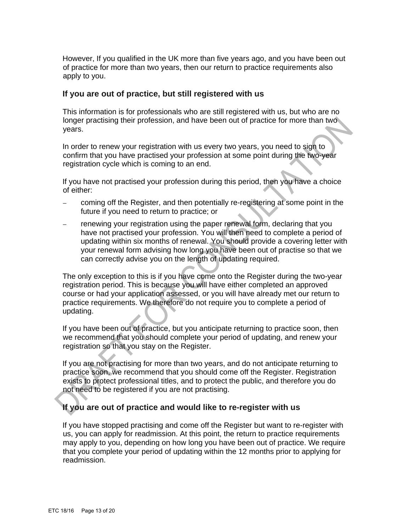However, If you qualified in the UK more than five years ago, and you have been out of practice for more than two years, then our return to practice requirements also apply to you.

#### **If you are out of practice, but still registered with us**

This information is for professionals who are still registered with us, but who are no longer practising their profession, and have been out of practice for more than two years.

In order to renew your registration with us every two years, you need to sign to confirm that you have practised your profession at some point during the two-year registration cycle which is coming to an end.

If you have not practised your profession during this period, then you have a choice of either:

- coming off the Register, and then potentially re-registering at some point in the future if you need to return to practice; or
- renewing your registration using the paper renewal form, declaring that you have not practised your profession. You will then need to complete a period of updating within six months of renewal. You should provide a covering letter with your renewal form advising how long you have been out of practise so that we can correctly advise you on the length of updating required.

The only exception to this is if you have come onto the Register during the two-year registration period. This is because you will have either completed an approved course or had your application assessed, or you will have already met our return to practice requirements. We therefore do not require you to complete a period of updating.

If you have been out of practice, but you anticipate returning to practice soon, then we recommend that you should complete your period of updating, and renew your registration so that you stay on the Register.

If you are not practising for more than two years, and do not anticipate returning to practice soon, we recommend that you should come off the Register. Registration exists to protect professional titles, and to protect the public, and therefore you do not need to be registered if you are not practising.

## **If you are out of practice and would like to re-register with us**

If you have stopped practising and come off the Register but want to re-register with us, you can apply for readmission. At this point, the return to practice requirements may apply to you, depending on how long you have been out of practice. We require that you complete your period of updating within the 12 months prior to applying for readmission.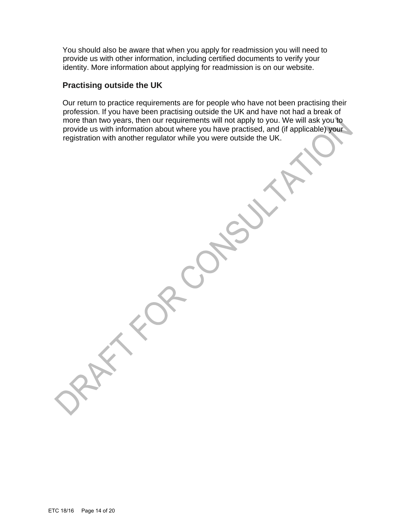You should also be aware that when you apply for readmission you will need to provide us with other information, including certified documents to verify your identity. More information about applying for readmission is on our website.

### **Practising outside the UK**

Our return to practice requirements are for people who have not been practising their profession. If you have been practising outside the UK and have not had a break of more than two years, then our requirements will not apply to you. We will ask you to provide us with information about where you have practised, and (if applicable) your registration with another regulator while you were outside the UK.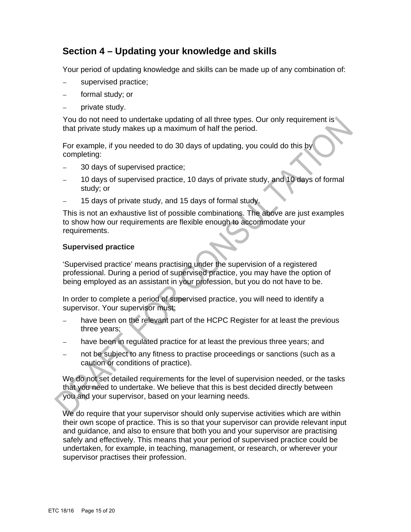## **Section 4 – Updating your knowledge and skills**

Your period of updating knowledge and skills can be made up of any combination of:

- supervised practice;
- formal study; or
- private study.

You do not need to undertake updating of all three types. Our only requirement is that private study makes up a maximum of half the period.

For example, if you needed to do 30 days of updating, you could do this by completing:

- 30 days of supervised practice;
- 10 days of supervised practice, 10 days of private study, and 10 days of formal study; or
- 15 days of private study, and 15 days of formal study.

This is not an exhaustive list of possible combinations. The above are just examples to show how our requirements are flexible enough to accommodate your requirements.

#### **Supervised practice**

'Supervised practice' means practising under the supervision of a registered professional. During a period of supervised practice, you may have the option of being employed as an assistant in your profession, but you do not have to be.

In order to complete a period of supervised practice, you will need to identify a supervisor. Your supervisor must:

- have been on the relevant part of the HCPC Register for at least the previous three years;
- have been in regulated practice for at least the previous three years; and
- not be subject to any fitness to practise proceedings or sanctions (such as a caution or conditions of practice).

We do not set detailed requirements for the level of supervision needed, or the tasks that you need to undertake. We believe that this is best decided directly between you and your supervisor, based on your learning needs.

We do require that your supervisor should only supervise activities which are within their own scope of practice. This is so that your supervisor can provide relevant input and guidance, and also to ensure that both you and your supervisor are practising safely and effectively. This means that your period of supervised practice could be undertaken, for example, in teaching, management, or research, or wherever your supervisor practises their profession.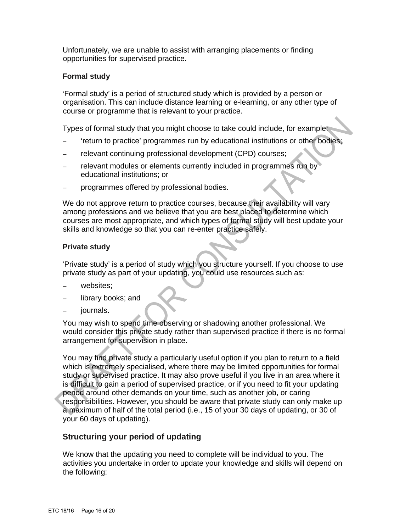Unfortunately, we are unable to assist with arranging placements or finding opportunities for supervised practice.

#### **Formal study**

'Formal study' is a period of structured study which is provided by a person or organisation. This can include distance learning or e-learning, or any other type of course or programme that is relevant to your practice.

Types of formal study that you might choose to take could include, for example:

- 'return to practice' programmes run by educational institutions or other bodies;
- relevant continuing professional development (CPD) courses;
- relevant modules or elements currently included in programmes run by educational institutions; or
- programmes offered by professional bodies.

We do not approve return to practice courses, because their availability will vary among professions and we believe that you are best placed to determine which courses are most appropriate, and which types of formal study will best update your skills and knowledge so that you can re-enter practice safely.

#### **Private study**

'Private study' is a period of study which you structure yourself. If you choose to use private study as part of your updating, you could use resources such as:

- websites:
- library books; and
- journals.

You may wish to spend time observing or shadowing another professional. We would consider this private study rather than supervised practice if there is no formal arrangement for supervision in place.

You may find private study a particularly useful option if you plan to return to a field which is extremely specialised, where there may be limited opportunities for formal study or supervised practice. It may also prove useful if you live in an area where it is difficult to gain a period of supervised practice, or if you need to fit your updating period around other demands on your time, such as another job, or caring responsibilities. However, you should be aware that private study can only make up a maximum of half of the total period (i.e., 15 of your 30 days of updating, or 30 of your 60 days of updating).

## **Structuring your period of updating**

We know that the updating you need to complete will be individual to you. The activities you undertake in order to update your knowledge and skills will depend on the following: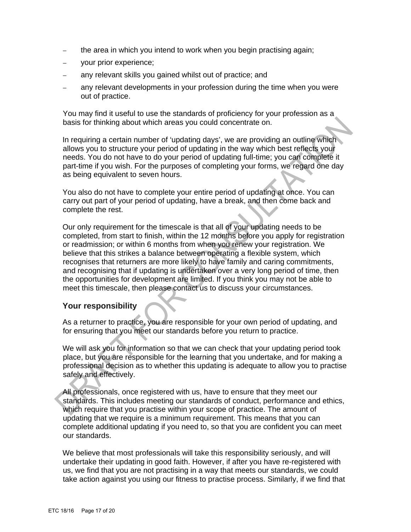- the area in which you intend to work when you begin practising again;
- your prior experience;
- any relevant skills you gained whilst out of practice; and
- any relevant developments in your profession during the time when you were out of practice.

You may find it useful to use the standards of proficiency for your profession as a basis for thinking about which areas you could concentrate on.

In requiring a certain number of 'updating days', we are providing an outline which allows you to structure your period of updating in the way which best reflects your needs. You do not have to do your period of updating full-time; you can complete it part-time if you wish. For the purposes of completing your forms, we regard one day as being equivalent to seven hours.

You also do not have to complete your entire period of updating at once. You can carry out part of your period of updating, have a break, and then come back and complete the rest.

Our only requirement for the timescale is that all of your updating needs to be completed, from start to finish, within the 12 months before you apply for registration or readmission; or within 6 months from when you renew your registration. We believe that this strikes a balance between operating a flexible system, which recognises that returners are more likely to have family and caring commitments, and recognising that if updating is undertaken over a very long period of time, then the opportunities for development are limited. If you think you may not be able to meet this timescale, then please contact us to discuss your circumstances.

#### **Your responsibility**

As a returner to practice, you are responsible for your own period of updating, and for ensuring that you meet our standards before you return to practice.

We will ask you for information so that we can check that your updating period took place, but you are responsible for the learning that you undertake, and for making a professional decision as to whether this updating is adequate to allow you to practise safely and effectively.

All professionals, once registered with us, have to ensure that they meet our standards. This includes meeting our standards of conduct, performance and ethics, which require that you practise within your scope of practice. The amount of updating that we require is a minimum requirement. This means that you can complete additional updating if you need to, so that you are confident you can meet our standards.

We believe that most professionals will take this responsibility seriously, and will undertake their updating in good faith. However, if after you have re-registered with us, we find that you are not practising in a way that meets our standards, we could take action against you using our fitness to practise process. Similarly, if we find that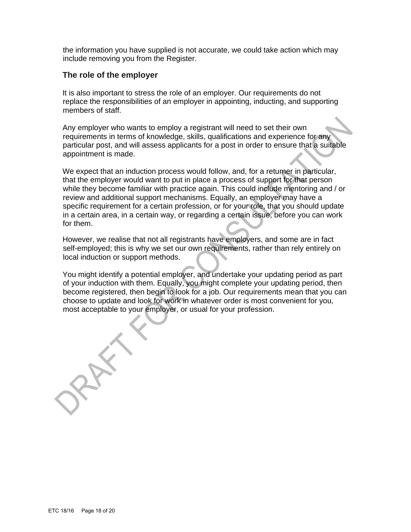the information you have supplied is not accurate, we could take action which may include removing you from the Register.

## **The role of the employer**

It is also important to stress the role of an employer. Our requirements do not replace the responsibilities of an employer in appointing, inducting, and supporting members of staff.

Any employer who wants to employ a registrant will need to set their own requirements in terms of knowledge, skills, qualifications and experience for any particular post, and will assess applicants for a post in order to ensure that a suitable appointment is made.

We expect that an induction process would follow, and, for a returner in particular, that the employer would want to put in place a process of support for that person while they become familiar with practice again. This could include mentoring and / or review and additional support mechanisms. Equally, an employer may have a specific requirement for a certain profession, or for your role, that you should update in a certain area, in a certain way, or regarding a certain issue, before you can work for them.

However, we realise that not all registrants have employers, and some are in fact self-employed; this is why we set our own requirements, rather than rely entirely on local induction or support methods.

You might identify a potential employer, and undertake your updating period as part of your induction with them. Equally, you might complete your updating period, then become registered, then begin to look for a job. Our requirements mean that you can choose to update and look for work in whatever order is most convenient for you, most acceptable to your employer, or usual for your profession.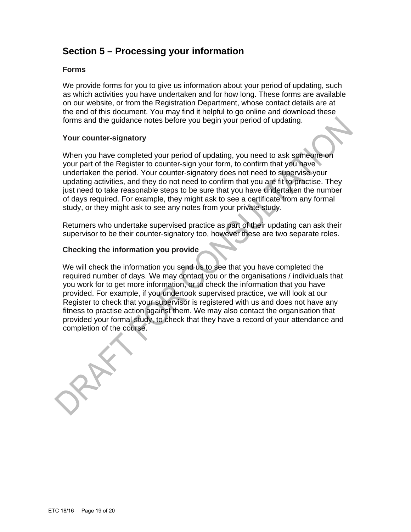## **Section 5 – Processing your information**

#### **Forms**

We provide forms for you to give us information about your period of updating, such as which activities you have undertaken and for how long. These forms are available on our website, or from the Registration Department, whose contact details are at the end of this document. You may find it helpful to go online and download these forms and the guidance notes before you begin your period of updating.

#### **Your counter-signatory**

When you have completed your period of updating, you need to ask someone on your part of the Register to counter-sign your form, to confirm that you have undertaken the period. Your counter-signatory does not need to supervise your updating activities, and they do not need to confirm that you are fit to practise. They just need to take reasonable steps to be sure that you have undertaken the number of days required. For example, they might ask to see a certificate from any formal study, or they might ask to see any notes from your private study.

Returners who undertake supervised practice as part of their updating can ask their supervisor to be their counter-signatory too, however these are two separate roles.

#### **Checking the information you provide**

We will check the information you send us to see that you have completed the required number of days. We may contact you or the organisations / individuals that you work for to get more information, or to check the information that you have provided. For example, if you undertook supervised practice, we will look at our Register to check that your supervisor is registered with us and does not have any fitness to practise action against them. We may also contact the organisation that provided your formal study, to check that they have a record of your attendance and completion of the course.